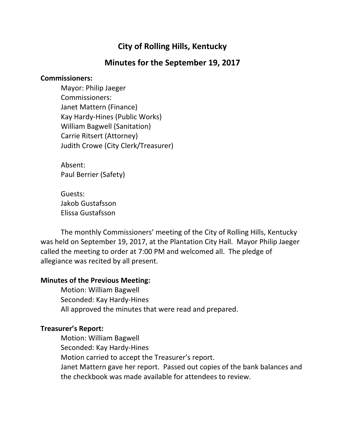# **City of Rolling Hills, Kentucky**

## **Minutes for the September 19, 2017**

#### **Commissioners:**

Mayor: Philip Jaeger Commissioners: Janet Mattern (Finance) Kay Hardy-Hines (Public Works) William Bagwell (Sanitation) Carrie Ritsert (Attorney) Judith Crowe (City Clerk/Treasurer)

Absent: Paul Berrier (Safety)

Guests: Jakob Gustafsson Elissa Gustafsson

The monthly Commissioners' meeting of the City of Rolling Hills, Kentucky was held on September 19, 2017, at the Plantation City Hall. Mayor Philip Jaeger called the meeting to order at 7:00 PM and welcomed all. The pledge of allegiance was recited by all present.

### **Minutes of the Previous Meeting:**

Motion: William Bagwell Seconded: Kay Hardy-Hines All approved the minutes that were read and prepared.

### **Treasurer's Report:**

Motion: William Bagwell Seconded: Kay Hardy-Hines Motion carried to accept the Treasurer's report. Janet Mattern gave her report. Passed out copies of the bank balances and the checkbook was made available for attendees to review.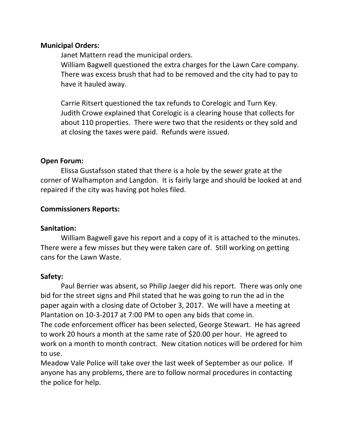#### **Municipal Orders:**

Janet Mattern read the municipal orders.

William Bagwell questioned the extra charges for the Lawn Care company. There was excess brush that had to be removed and the city had to pay to have it hauled away.

Carrie Ritsert questioned the tax refunds to Corelogic and Turn Key. Judith Crowe explained that Corelogic is a clearing house that collects for about 110 properties. There were two that the residents or they sold and at closing the taxes were paid. Refunds were issued.

### **Open Forum:**

Elissa Gustafsson stated that there is a hole by the sewer grate at the corner of Walhampton and Langdon. It is fairly large and should be looked at and repaired if the city was having pot holes filed.

### **Commissioners Reports:**

### **Sanitation:**

William Bagwell gave his report and a copy of it is attached to the minutes. There were a few misses but they were taken care of. Still working on getting cans for the Lawn Waste.

### **Safety:**

Paul Berrier was absent, so Philip Jaeger did his report. There was only one bid for the street signs and Phil stated that he was going to run the ad in the paper again with a closing date of October 3, 2017. We will have a meeting at Plantation on 10-3-2017 at 7:00 PM to open any bids that come in. The code enforcement officer has been selected, George Stewart. He has agreed to work 20 hours a month at the same rate of \$20.00 per hour. He agreed to work on a month to month contract. New citation notices will be ordered for him to use.

Meadow Vale Police will take over the last week of September as our police. If anyone has any problems, there are to follow normal procedures in contacting the police for help.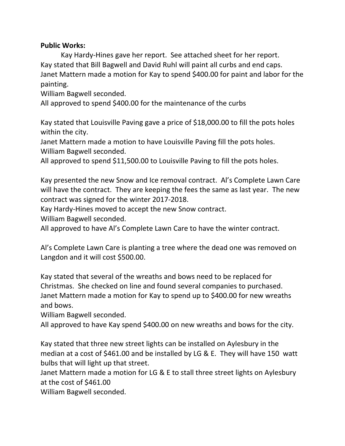### **Public Works:**

Kay Hardy-Hines gave her report. See attached sheet for her report. Kay stated that Bill Bagwell and David Ruhl will paint all curbs and end caps. Janet Mattern made a motion for Kay to spend \$400.00 for paint and labor for the painting.

William Bagwell seconded.

All approved to spend \$400.00 for the maintenance of the curbs

Kay stated that Louisville Paving gave a price of \$18,000.00 to fill the pots holes within the city.

Janet Mattern made a motion to have Louisville Paving fill the pots holes. William Bagwell seconded.

All approved to spend \$11,500.00 to Louisville Paving to fill the pots holes.

Kay presented the new Snow and Ice removal contract. Al's Complete Lawn Care will have the contract. They are keeping the fees the same as last year. The new contract was signed for the winter 2017-2018.

Kay Hardy-Hines moved to accept the new Snow contract.

William Bagwell seconded.

All approved to have Al's Complete Lawn Care to have the winter contract.

Al's Complete Lawn Care is planting a tree where the dead one was removed on Langdon and it will cost \$500.00.

Kay stated that several of the wreaths and bows need to be replaced for Christmas. She checked on line and found several companies to purchased. Janet Mattern made a motion for Kay to spend up to \$400.00 for new wreaths and bows.

William Bagwell seconded.

All approved to have Kay spend \$400.00 on new wreaths and bows for the city.

Kay stated that three new street lights can be installed on Aylesbury in the median at a cost of \$461.00 and be installed by LG & E. They will have 150 watt bulbs that will light up that street.

Janet Mattern made a motion for LG & E to stall three street lights on Aylesbury at the cost of \$461.00

William Bagwell seconded.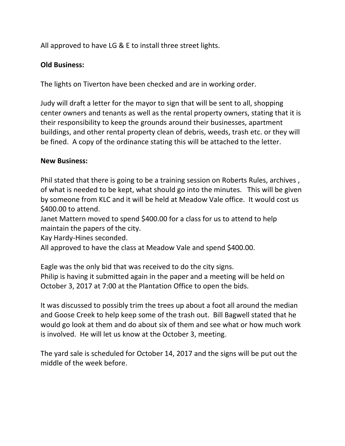All approved to have LG & E to install three street lights.

## **Old Business:**

The lights on Tiverton have been checked and are in working order.

Judy will draft a letter for the mayor to sign that will be sent to all, shopping center owners and tenants as well as the rental property owners, stating that it is their responsibility to keep the grounds around their businesses, apartment buildings, and other rental property clean of debris, weeds, trash etc. or they will be fined. A copy of the ordinance stating this will be attached to the letter.

### **New Business:**

Phil stated that there is going to be a training session on Roberts Rules, archives , of what is needed to be kept, what should go into the minutes. This will be given by someone from KLC and it will be held at Meadow Vale office. It would cost us \$400.00 to attend.

Janet Mattern moved to spend \$400.00 for a class for us to attend to help maintain the papers of the city.

Kay Hardy-Hines seconded.

All approved to have the class at Meadow Vale and spend \$400.00.

Eagle was the only bid that was received to do the city signs. Philip is having it submitted again in the paper and a meeting will be held on October 3, 2017 at 7:00 at the Plantation Office to open the bids.

It was discussed to possibly trim the trees up about a foot all around the median and Goose Creek to help keep some of the trash out. Bill Bagwell stated that he would go look at them and do about six of them and see what or how much work is involved. He will let us know at the October 3, meeting.

The yard sale is scheduled for October 14, 2017 and the signs will be put out the middle of the week before.